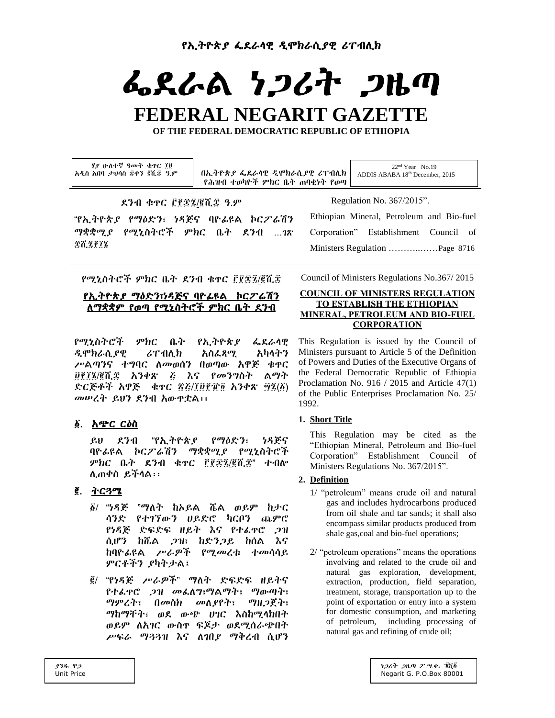የኢትዮጵያ ፌደራሳዊ ዲሞክራሲያዊ ሪፐብሊክ

# ふえんぬ りつびれ つゆの

# FEDERAL NEGARIT GAZETTE

OF THE FEDERAL DEMOCRATIC REPUBLIC OF ETHIOPIA

| Regulation No. 367/2015".<br>ደንብ ቁዋር ፫፻፷፯/፪ሺ፰ ዓ.ም<br>"የኢትዮጵያ የማዕድን፣ ነዳጅና ባዮፊዩል ኮርፖ'ሬሽን<br>_ የሚኒስትሮች _ ምክር _ ቤት _ ደንብ<br>ማቋቋሚ ያ<br>78<br>\$6,2012<br>Council of Ministers Regulations No.367/2015<br>የሚኒስትሮች ምክር ቤት ደንብ ቁዋር ፫፻፷፯/፪ሺ፰<br><b>COUNCIL OF MINISTERS REGULATION</b><br><u>የኢትዮጵያ ማዕድን፣ነዳጅና ባዮፊዩል  ኮርፖሬሽን</u><br><b>TO ESTABLISH THE ETHIOPIAN</b><br><u>ለማቋቋም የወጣ የሚኒስትሮች ምክር ቤት ደንብ</u><br><b>MINERAL. PETROLEUM AND BIO-FUEL</b><br><b>CORPORATION</b><br>የሚኒስትሮች ምክር ቤት የኢትዮጵያ ፌደራሳዊ<br>አካላትን<br>$\boldsymbol{c}$ T ብሊክ<br>አስፌጻሚ<br>ዲሞክራሲያዊ<br>ሥልጣንና ተግባር ለመወሰን በወጣው አዋጅ<br>ቁዋር<br>ልማት<br>፱፻፲፮/፪ሺ፰ አንቀጽ ፭ እና <i>የመንግ</i> ስት<br>ድርጅቶች አዋጅ - ቁዋር ፳፭/፲፱፻፹፬ አንቀጽ ፵፯(፩)<br>መሠረት ይህን ደንብ አውዋቷል፡፡<br>1992.<br>1. Short Title<br>δ.<br><u>አጭር ርዕስ</u><br>"የኢትዮጵያ የማዕድን፣<br>ደንብ<br>ነዳጅና<br>$\mathfrak{L} \mathfrak{v}$<br>ባዮፊዩል ኮር <i>ፖ</i> 'ሬሽን<br>ማቋቋሚያ የሚኒስትሮች<br>ምክር ቤት ደንብ ቁዋር ፫፻፷፯/፪ሺ፰" ተብሎ<br>Ministers Regulations No. 367/2015".<br>ሊጠቀስ ይችላል።<br>2. Definition<br>ĝ.<br><u>ትርጓሜ</u><br>$\tilde{g}$ / "ነዳጅ<br>"ማለት ከኦይል ሼል ወይም ከታር<br>ጨምሮ<br>የተገኘውን ሀይድሮ<br>ካርቦን<br>ሳንድ<br>የነዳጅ ድፍድፍ ዘይት እና የተራዋሮ<br>.211<br>shale gas, coal and bio-fuel operations;<br>ከሼል ጋዝ፣ ከድንጋይ<br>ሲሆን<br>ከሰል<br>እና<br>ከባዮፊዩል <i>ሥራዎች የሚመረ</i> ቱ<br>ተመሳሳይ<br>ምርቶችን ያካትታል፤<br>፪/ "የነዳጅ ሥራዎች" ማለት ድፍድፍ ዘይትና<br>የተፌዋሮ ጋዝ መፌለግ፣ማልማት፣ ማውጣት፣<br>ማምረት፣<br>በመስክ<br>ማዘ <i>ጋ</i> ጀት፣<br>መስያየት፣<br>ማከማቸት፣ ወደ ውጭ ሀገር እስከሚላክበት<br>ወይም ለአገር ውስዋ ፍጆታ ወደሚሰራጭበት<br>natural gas and refining of crude oil;<br>ሥፍራ ማጓጓዝ እና ለገበያ ማቅረብ ሲሆን | ሃያ ሁለተኛ ዓመት ቁዋር ፲፱<br>በኢትዮጵያ ፌደራሳዊ ዲሞክራሲያዊ ሪፐብሲክ<br>አዲስ አበባ ታህሳስ ፰ቀን ፪ሺ፰ ዓ.ም<br>የሕዝብ ተወካዮች ምክር ቤት ጠባቂነት የወጣ | 22 <sup>nd</sup> Year No.19<br>ADDIS ABABA 18th December, 2015                                                                                                                                                                                                                                                                                                                                                                                                                                                                                           |
|-----------------------------------------------------------------------------------------------------------------------------------------------------------------------------------------------------------------------------------------------------------------------------------------------------------------------------------------------------------------------------------------------------------------------------------------------------------------------------------------------------------------------------------------------------------------------------------------------------------------------------------------------------------------------------------------------------------------------------------------------------------------------------------------------------------------------------------------------------------------------------------------------------------------------------------------------------------------------------------------------------------------------------------------------------------------------------------------------------------------------------------------------------------------------------------------------------------------------------------------------------------------------------------------------------------------------------------------------------------------------------------------------------------------------------------------------------------------------------------------------------------|-------------------------------------------------------------------------------------------------------------|----------------------------------------------------------------------------------------------------------------------------------------------------------------------------------------------------------------------------------------------------------------------------------------------------------------------------------------------------------------------------------------------------------------------------------------------------------------------------------------------------------------------------------------------------------|
|                                                                                                                                                                                                                                                                                                                                                                                                                                                                                                                                                                                                                                                                                                                                                                                                                                                                                                                                                                                                                                                                                                                                                                                                                                                                                                                                                                                                                                                                                                           |                                                                                                             | Ethiopian Mineral, Petroleum and Bio-fuel<br>Corporation" Establishment Council of<br>Ministers Regulation Page 8716                                                                                                                                                                                                                                                                                                                                                                                                                                     |
|                                                                                                                                                                                                                                                                                                                                                                                                                                                                                                                                                                                                                                                                                                                                                                                                                                                                                                                                                                                                                                                                                                                                                                                                                                                                                                                                                                                                                                                                                                           |                                                                                                             |                                                                                                                                                                                                                                                                                                                                                                                                                                                                                                                                                          |
|                                                                                                                                                                                                                                                                                                                                                                                                                                                                                                                                                                                                                                                                                                                                                                                                                                                                                                                                                                                                                                                                                                                                                                                                                                                                                                                                                                                                                                                                                                           |                                                                                                             | This Regulation is issued by the Council of<br>Ministers pursuant to Article 5 of the Definition<br>of Powers and Duties of the Executive Organs of<br>the Federal Democratic Republic of Ethiopia<br>Proclamation No. 916 / 2015 and Article 47(1)<br>of the Public Enterprises Proclamation No. 25/                                                                                                                                                                                                                                                    |
|                                                                                                                                                                                                                                                                                                                                                                                                                                                                                                                                                                                                                                                                                                                                                                                                                                                                                                                                                                                                                                                                                                                                                                                                                                                                                                                                                                                                                                                                                                           |                                                                                                             | This Regulation may be cited as the<br>"Ethiopian Mineral, Petroleum and Bio-fuel<br>Corporation" Establishment Council of                                                                                                                                                                                                                                                                                                                                                                                                                               |
|                                                                                                                                                                                                                                                                                                                                                                                                                                                                                                                                                                                                                                                                                                                                                                                                                                                                                                                                                                                                                                                                                                                                                                                                                                                                                                                                                                                                                                                                                                           |                                                                                                             | 1/ "petroleum" means crude oil and natural<br>gas and includes hydrocarbons produced<br>from oil shale and tar sands; it shall also<br>encompass similar products produced from<br>2/ "petroleum operations" means the operations<br>involving and related to the crude oil and<br>natural gas exploration, development,<br>extraction, production, field separation,<br>treatment, storage, transportation up to the<br>point of exportation or entry into a system<br>for domestic consumption, and marketing<br>of petroleum, including processing of |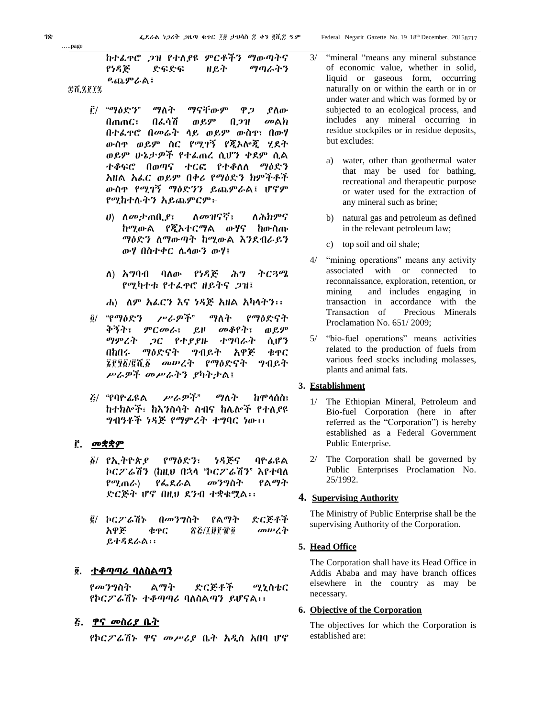Federal Negarit Gazette No. 19 18th December, 20158717

ከተፈጥሮ ጋዝ የተለያዩ ምርቶችን ማውጣትና የነዳጅ ድፍድፍ ዘይት ማጣራትን ይጨምራል፤

- ፫/ "ማዕድን" ማለት ማናቸውም ዋጋ ያለው በጠጠር፣ በፈሳሽ ወይም በጋዝ መልክ በተፈጥሮ በመሬት ላይ ወይም ውስጥ፣ በውሃ ውስጥ ወይም ስር የሚገኝ የጂኦሎጂ ሂደት ወይም ሁኔታዎች የተፈጠረ ሲሆን ቀደም ሲል ተቆፍሮ በወጣና ተርፎ የተቆለለ ማዕድን አዘል አፈር ወይም በቀሪ የማዕድን ክምችቶች ውስጥ የሚገኝ ማዕድንን ይጨምራል፤ ሆኖም የሚከተሉትን አይጨምርም፦
	- ሀ) ለመታጠቢያ፣ ለመዝናኛ፣ ለሕክምና ከሚውል የጂኦተርማል ውሃና ከውስጡ ማዕድን ለማውጣት ከሚውል እንደብራይን ውሃ በስተቀር ሌላውን ውሃ፤
	- ለ) አግባብ ባለው የነዳጅ ሕግ ትርጓሜ የሚካተቱ የተፈጥሮ ዘይትና ጋዝ፤
	- ሐ) ለም አፈርን እና ነዳጅ አዘል አካላትን፡፡
- ፬/ "የማዕድን ሥራዎች" ማለት የማዕድናት ቅኝት፣ ምርመራ፣ ይዞ መቆየት፣ ወይም ማምረት ጋር የተያያዙ ተግባራት ሲሆን በከበሩ ማዕድናት ግብይት አዋጅ ቁጥር ፮፻፶፩/፪ሺ፩ መሠረት የማዕድናት ግብይት ሥራዎች መሥራትን ያካትታል፤
- ፭/ "የባዮፊዩል ሥራዎች" ማለት ከሞላሰስ፣ ከተክሎች፣ ከእንስሳት ስብና ከሌሎች የተለያዩ ግብዓቶች ነዳጅ የማምረት ተግባር ነው፡፡

# ፫. መቋቋም

- ፩/ የኢትዮጵያ የማዕድን፣ ነዳጅና ባዮፊዩል ኮርፖሬሽን (ከዚህ በኋላ "ኮርፖሬሽን" እየተባለ የሚጠራ) የፌደራል መንግስት የልማት ድርጅት ሆኖ በዚህ ደንብ ተቋቁሟል፡፡
- ፪/ ኮርፖሬሽኑ በመንግስት የልማት ድርጅቶች አዋጅ ቁጥር ፳፭/፲፱፻፹፬ መሠረት ይተዳደራል፡፡

# ፬. <u>ተቆጣጣሪ ባለስልጣን</u>

የመንግስት ልማት ድርጅቶች ሚኒስቴር የኮርፖሬሽኑ ተቆጣጣሪ ባለስልጣን ይሆናል፡፡

# ፭. ዋና መስሪያ ቤት

የኮርፖሬሽኑ ዋና መሥሪያ ቤት አዲስ አበባ ሆኖ

- 3/ "mineral "means any mineral substance of economic value, whether in solid, liquid or gaseous form, occurring naturally on or within the earth or in or under water and which was formed by or subjected to an ecological process, and includes any mineral occurring in residue stockpiles or in residue deposits, but excludes:
	- a) water, other than geothermal water that may be used for bathing, recreational and therapeutic purpose or water used for the extraction of any mineral such as brine;
	- b) natural gas and petroleum as defined in the relevant petroleum law;
	- c) top soil and oil shale;
- 4/ "mining operations" means any activity associated with or connected to reconnaissance, exploration, retention, or mining and includes engaging in transaction in accordance with the Transaction of Precious Minerals Proclamation No. 651/ 2009;
- 5/ "bio-fuel operations" means activities related to the production of fuels from various feed stocks including molasses, plants and animal fats.

# **3. Establishment**

- 1/ The Ethiopian Mineral, Petroleum and Bio-fuel Corporation (here in after referred as the "Corporation") is hereby established as a Federal Government Public Enterprise.
- 2/ The Corporation shall be governed by Public Enterprises Proclamation No. 25/1992.

#### **4. Supervising Authority**

The Ministry of Public Enterprise shall be the supervising Authority of the Corporation.

# **5. Head Office**

The Corporation shall have its Head Office in Addis Ababa and may have branch offices elsewhere in the country as may be necessary.

#### **6. Objective of the Corporation**

The objectives for which the Corporation is established are:

…..page

፰ሺ፯፻፲፯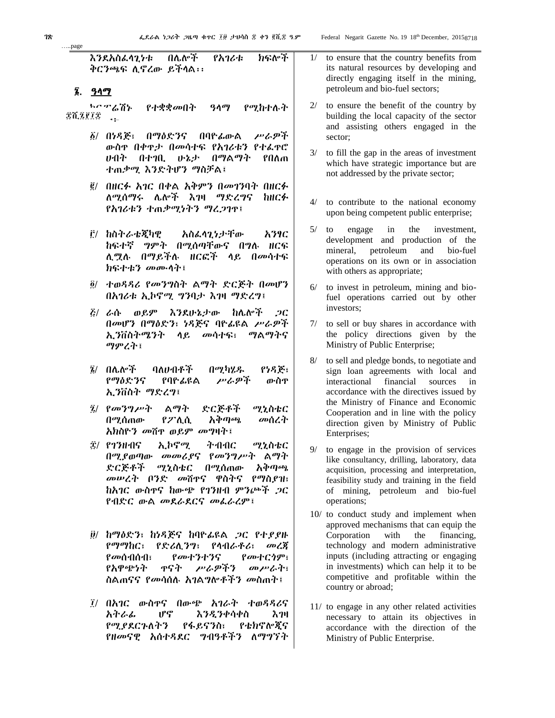እንደአስፈላጊነቱ በሌሎች የአገሪቱ ክፍሎች ቅርንጫፍ ሊኖረው ይችላል፡፡

#### ፮. ዓላማ

…..page

ኮርፖሬሽኑ የተቋቋመበት ዓላማ የሚከተሉት ድሺ፯፻፲፰ <sub>•፡</sub>

- ፩/ በነዳጅ፣ በማዕድንና በባዮፊውል ሥራዎች ውስጥ በቀጥታ በመሳተፍ የአገሪቱን የተፈጥሮ ሀብት በተገቢ ሁኔታ በማልማት የበለጠ ተጠቃሚ እንድትሆን ማስቻል፤
- ፪/ በዘርፉ አገር በቀል አቅምን በመገንባት በዘርፉ ለሚሰማሩ ሌሎች እገዛ ማድረግና ከዘርፉ የአገሪቱን ተጠቃሚነትን ማረጋገጥ፤
- ፫/ ከስትራቴጂካዊ አስፈላጊነታቸው አንፃር ከፍተኛ ግምት በሚሰጣቸውና በግሉ ዘርፍ ሊሟሉ በማይችሉ ዘርፎች ላይ በመሳተፍ ክፍተቱን መሙላት፤
- ፬/ ተወዳዳሪ የመንግስት ልማት ድርጅት በመሆን በአገሪቱ ኢኮኖሚ ግንባታ እገዛ ማድረግ፤
- ፭/ ራሱ ወይም እንደሁኔታው ከሌሎች ጋር በመሆን በማዕድን፣ ነዳጅና ባዮፊዩል ሥራዎች ኢንቨስትሜንት ላይ መሳተፍ፣ ማልማትና ማምረት፤
- ፮/ በሌሎች ባለሀብቶች በሚካሄዱ የነዳጅ፣ የማዕድንና የባዮፊዩል ሥራዎች ውስጥ ኢንቨስት ማድረግ፤
- ፯/ የመንግሥት ልማት ድርጅቶች ሚኒስቴር በሚሰጠው የፖሊሲ አቅጣጫ መሰረት አክስዮን መሸጥ ወይም መግዛት፤
- ፰/ የገንዘብና ኢኮኖሚ ትብብር ሚኒስቴር በሚያወጣው መመሪያና የመንግሥት ልማት ድርጅቶች ሚኒስቴር በሚሰጠው አቅጣጫ መሠረት ቦንድ መሸጥና ዋስትና የማስያዝ፣ ከአገር ውስጥና ከውጭ የገንዘብ ምንጮች ጋር የብድር ውል መደራደርና መፈራረም፤
- ፱/ ከማዕድን፣ ከነዳጅና ከባዮፊዩል ጋር የተያያዙ የማማከር፣ የድሪሊንግ፣ የላብራቶሪ፣ መረጃ የመሰብሰብ፣ የመተንተንና የመተርጎም፣ የአዋጭነት ጥናት ሥራዎችን መሥራት፣ ስልጠናና *የመሳ*ሰሉ *አገ*ል*ግ*ሎቶች*ን መ*ስጠተ፤
- ፲/ በአገር ውስጥና በውጭ አገራት ተወዳዳሪና አትራፊ ሆኖ እንዲንቀሳቀስ እገዛ የሚያደርጉለትን የፋይናንስ፣ የቴክኖሎጂና የዘመናዊ አሰተዳደር ግብዓቶችን ለማግኘት
- 1/ to ensure that the country benefits from its natural resources by developing and directly engaging itself in the mining, petroleum and bio-fuel sectors;
- 2/ to ensure the benefit of the country by building the local capacity of the sector and assisting others engaged in the sector;
- 3/ to fill the gap in the areas of investment which have strategic importance but are not addressed by the private sector;
- 4/ to contribute to the national economy upon being competent public enterprise;
- 5/ to engage in the investment, development and production of the mineral, petroleum and bio-fuel operations on its own or in association with others as appropriate;
- to invest in petroleum, mining and biofuel operations carried out by other investors;
- 7/ to sell or buy shares in accordance with the policy directions given by the Ministry of Public Enterprise;
- 8/ to sell and pledge bonds, to negotiate and sign loan agreements with local and interactional financial sources in accordance with the directives issued by the Ministry of Finance and Economic Cooperation and in line with the policy direction given by Ministry of Public Enterprises;
- 9/ to engage in the provision of services like consultancy, drilling, laboratory, data acquisition, processing and interpretation, feasibility study and training in the field of mining, petroleum and bio-fuel operations;
- 10/ to conduct study and implement when approved mechanisms that can equip the Corporation with the financing, technology and modern administrative inputs (including attracting or engaging in investments) which can help it to be competitive and profitable within the country or abroad;
- 11/ to engage in any other related activities necessary to attain its objectives in accordance with the direction of the Ministry of Public Enterprise.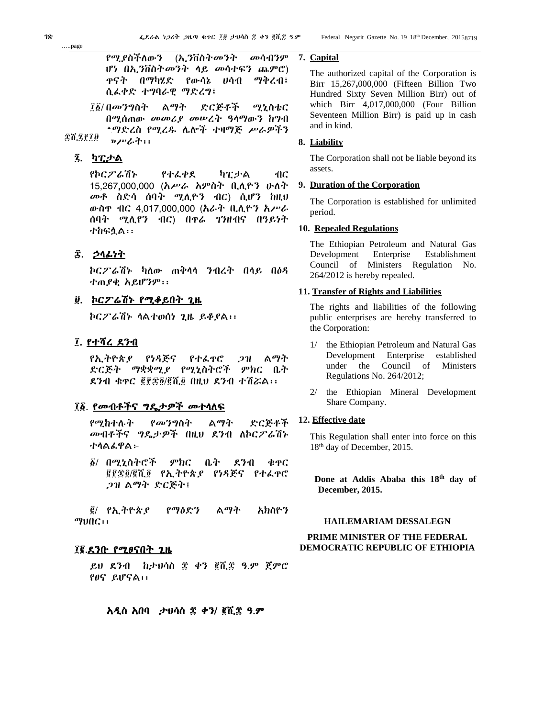የሚያስችለውን (ኢንቨስትመንት መሳብንም ሆነ በኢንቨስትመንት ላይ መሳተፍን ጨምሮ) ጥናት በማካሄድ የውሳኔ ሀሳብ ማቅረብ፤ ሲፈቀድ ተግባራዊ ማድረግ፤

# ፯. <u>ካፒታል</u>

የኮርፖሬሽኑ የተፈቀደ ካፒታል ብር 15,267,000,000 (አሥራ አምስት ቢሊዮን ሁለት መቶ ስድሳ ሰባት ሚሊዮን ብር) ሲሆን ከዚህ ውስጥ ብር 4,017,000,000 (አራት ቢሊዮን አሥራ ሰባት ሚሊየን ብር) በጥሬ ገንዘብና በዓይነት ተከፍሏል፡፡

# ፰. ኃላፊነት

ኮርፖሬሽኑ ካለው ጠቅላላ ንብረት በላይ በዕዳ ተጠያቂ አይሆንም፡፡

# ፱. ኮርፖሬሽኑ የሚቆይበት ጊዜ

ኮርፖሬሽኑ ላልተወሰነ ጊዜ ይቆያል፡፡

# ፲. <u>የተሻረ ደንብ</u>

የኢትዮጵያ የነዳጅና የተፈጥሮ ጋዝ ልማት ድርጅት ማቋቋሚያ የሚኒስትሮች ምክር ቤት ደንብ ቁጥር ፪፻፷፬/፪ሺ፬ በዚህ ደንብ ተሽሯል፡፡

# ፲፩. የመብቶችና ግዴታዎች መተላለፍ

የሚከተሉት የመንግስት ልማት ድርጅቶች መብቶችና ግዴታዎች በዚህ ደንብ ለኮርፖሬሽኑ ተላልፈዋል፦

፩/ በሚኒስትሮች ምክር ቤት ደንብ ቁጥር ፪፻፷፬/፪ሺ፬ የኢትዮጵያ የነዳጅና የተፈጥሮ ጋዝ ልማት ድርጅት፤

፪/ የኢትዮጵያ የማዕድን ልማት አክስዮን ማህበር፡፡

# ፲፪.ደንቡ የሚፀናበት ጊዜ

ይህ ደንብ ከታህሳስ ፰ ቀን ፪ሺ፰ ዓ.ም ጀምሮ የፀና ይሆናል፡፡

# አዲስ አበባ ታህሳስ ፰ ቀን/ ፪ሺ፰ ዓ.ም

# **7. Capital**

The authorized capital of the Corporation is Birr 15,267**,**000,000 (Fifteen Billion Two Hundred Sixty Seven Million Birr) out of which Birr 4,017,000,000 (Four Billion Seventeen Million Birr) is paid up in cash and in kind.

# **8. Liability**

The Corporation shall not be liable beyond its assets.

# **9. Duration of the Corporation**

The Corporation is established for unlimited period.

# **10. Repealed Regulations**

The Ethiopian Petroleum and Natural Gas Development Enterprise Establishment Council of Ministers Regulation No. 264/2012 is hereby repealed.

#### **11. Transfer of Rights and Liabilities**

The rights and liabilities of the following public enterprises are hereby transferred to the Corporation:

- 1/ the Ethiopian Petroleum and Natural Gas Development Enterprise established under the Council of Ministers Regulations No. 264/2012;
- 2/ the Ethiopian Mineral Development Share Company.

# **12. Effective date**

This Regulation shall enter into force on this 18<sup>th</sup> day of December, 2015.

 **Done at Addis Ababa this 18th day of December, 2015.**

# **HAILEMARIAM DESSALEGN**

#### **PRIME MINISTER OF THE FEDERAL DEMOCRATIC REPUBLIC OF ETHIOPIA**

…..page